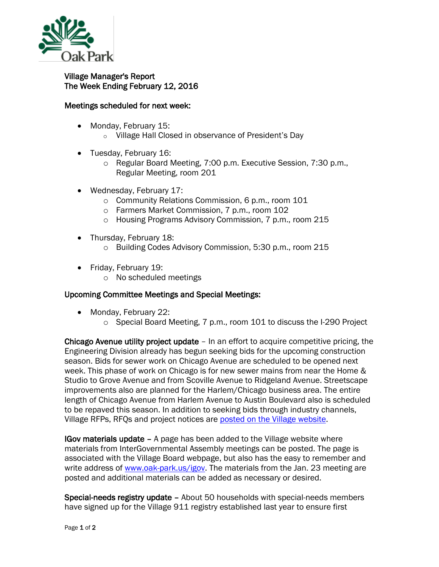

## Village Manager's Report The Week Ending February 12, 2016

## Meetings scheduled for next week:

- Monday, February 15:
	- o Village Hall Closed in observance of President's Day
- Tuesday, February 16:
	- o Regular Board Meeting, 7:00 p.m. Executive Session, 7:30 p.m., Regular Meeting, room 201
- Wednesday, February 17:
	- o Community Relations Commission, 6 p.m., room 101
	- o Farmers Market Commission, 7 p.m., room 102
	- o Housing Programs Advisory Commission, 7 p.m., room 215
- Thursday, February 18:
	- o Building Codes Advisory Commission, 5:30 p.m., room 215
- Friday, February 19:
	- o No scheduled meetings

## Upcoming Committee Meetings and Special Meetings:

- Monday, February 22:
	- o Special Board Meeting, 7 p.m., room 101 to discuss the I-290 Project

Chicago Avenue utility project update – In an effort to acquire competitive pricing, the Engineering Division already has begun seeking bids for the upcoming construction season. Bids for sewer work on Chicago Avenue are scheduled to be opened next week. This phase of work on Chicago is for new sewer mains from near the Home & Studio to Grove Avenue and from Scoville Avenue to Ridgeland Avenue. Streetscape improvements also are planned for the Harlem/Chicago business area. The entire length of Chicago Avenue from Harlem Avenue to Austin Boulevard also is scheduled to be repaved this season. In addition to seeking bids through industry channels, Village RFPs, RFQs and project notices are [posted on the Village website.](http://www.oak-park.us/your-government/budget-purchasing/requests-proposals)

IGov materials update – A page has been added to the Village website where materials from InterGovernmental Assembly meetings can be posted. The page is associated with the Village Board webpage, but also has the easy to remember and write address of [www.oak-park.us/igov.](http://www.oak-park.us/igov) The materials from the Jan. 23 meeting are posted and additional materials can be added as necessary or desired.

Special-needs registry update – About 50 households with special-needs members have signed up for the Village 911 registry established last year to ensure first